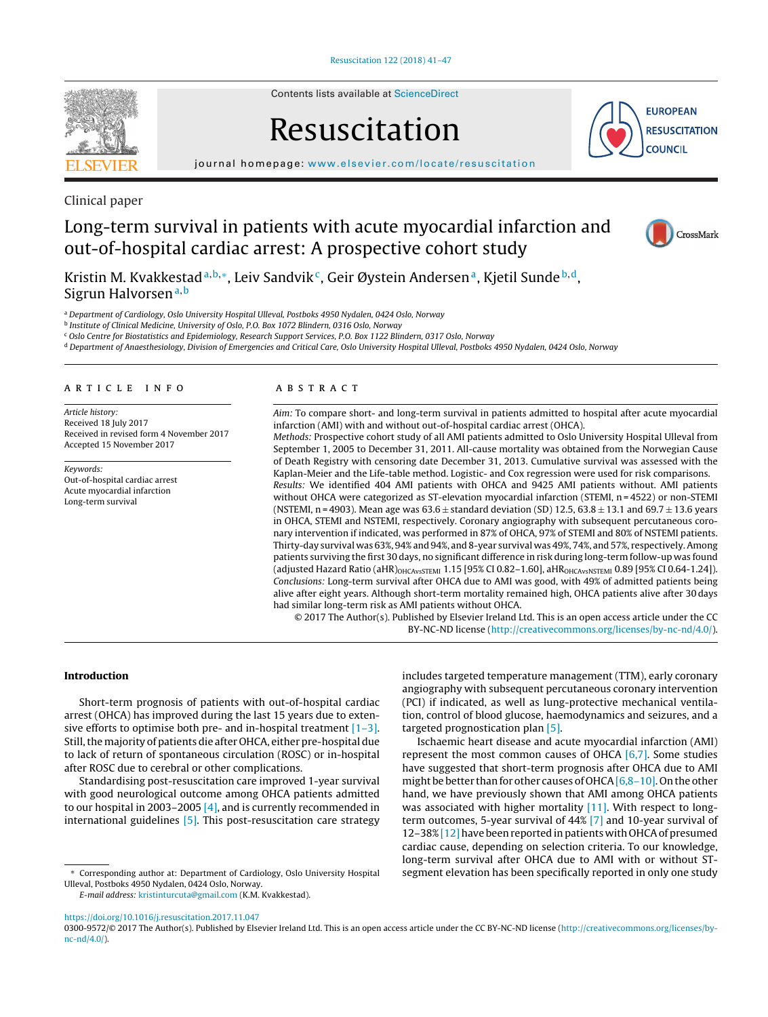

Contents lists available at [ScienceDirect](http://www.sciencedirect.com/science/journal/03009572)

# Resuscitation



iournal homepage: [www.elsevier.com/locate/resuscitation](http://www.elsevier.com/locate/resuscitation)

Clinical paper

# Long-term survival in patients with acute myocardial infarction and out-of-hospital cardiac arrest: A prospective cohort study



Kristin M. Kvakkestad<sup>a, b,∗</sup>, Leiv Sandvik<sup>c</sup>, Geir Øystein Andersen<sup>a</sup>, Kjetil Sunde<sup>b,d</sup>, Sigrun Halvorsen<sup>a,b</sup>

a Department of Cardiology, Oslo University Hospital Ulleval, Postboks 4950 Nydalen, 0424 Oslo, Norway

<sup>b</sup> Institute of Clinical Medicine, University of Oslo, P.O. Box 1072 Blindern, 0316 Oslo, Norway

<sup>c</sup> Oslo Centre for Biostatistics and Epidemiology, Research Support Services, P.O. Box 1122 Blindern, 0317 Oslo, Norway

<sup>d</sup> Department of Anaesthesiology, Division of Emergencies and Critical Care, Oslo University Hospital Ulleval, Postboks 4950 Nydalen, 0424 Oslo, Norway

#### A R T I C L E I N F O

Article history: Received 18 July 2017 Received in revised form 4 November 2017 Accepted 15 November 2017

Keywords: Out-of-hospital cardiac arrest Acute myocardial infarction Long-term survival

#### A B S T R A C T

Aim: To compare short- and long-term survival in patients admitted to hospital after acute myocardial infarction (AMI) with and without out-of-hospital cardiac arrest (OHCA).

Methods: Prospective cohort study of all AMI patients admitted to Oslo University Hospital Ulleval from September 1, 2005 to December 31, 2011. All-cause mortality was obtained from the Norwegian Cause of Death Registry with censoring date December 31, 2013. Cumulative survival was assessed with the Kaplan-Meier and the Life-table method. Logistic- and Cox regression were used for risk comparisons.

Results: We identified 404 AMI patients with OHCA and 9425 AMI patients without. AMI patients without OHCA were categorized as ST-elevation myocardial infarction (STEMI, n = 4522) or non-STEMI (NSTEMI, n = 4903). Mean age was  $63.6 \pm$  standard deviation (SD) 12.5,  $63.8 \pm 13.1$  and  $69.7 \pm 13.6$  years in OHCA, STEMI and NSTEMI, respectively. Coronary angiography with subsequent percutaneous coronary intervention if indicated, was performed in 87% of OHCA, 97% of STEMI and 80% of NSTEMI patients. Thirty-day survival was 63%, 94% and 94%, and 8-year survival was 49%, 74%, and 57%, respectively.Among patients surviving the first 30 days, no significant difference in risk during long-term follow-up was found (adjusted Hazard Ratio (aHR)<sub>OHCAvsSTEMI</sub> 1.15 [95% CI 0.82-1.60], aHR<sub>OHCAvsNSTEMI</sub> 0.89 [95% CI 0.64-1.24]). Conclusions: Long-term survival after OHCA due to AMI was good, with 49% of admitted patients being alive after eight years. Although short-term mortality remained high, OHCA patients alive after 30 days had similar long-term risk as AMI patients without OHCA.

© 2017 The Author(s). Published by Elsevier Ireland Ltd. This is an open access article under the CC BY-NC-ND license [\(http://creativecommons.org/licenses/by-nc-nd/4.0/](http://creativecommons.org/licenses/by-nc-nd/4.0/)).

#### **Introduction**

Short-term prognosis of patients with out-of-hospital cardiac arrest (OHCA) has improved during the last 15 years due to extensive efforts to optimise both pre- and in-hospital treatment  $[1-3]$ . Still, the majority of patients die after OHCA, either pre-hospital due to lack of return of spontaneous circulation (ROSC) or in-hospital after ROSC due to cerebral or other complications.

Standardising post-resuscitation care improved 1-year survival with good neurological outcome among OHCA patients admitted to our hospital in 2003–2005 [\[4\],](#page-5-0) and is currently recommended in international guidelines [\[5\].](#page-5-0) This post-resuscitation care strategy

∗ Corresponding author at: Department of Cardiology, Oslo University Hospital Ulleval, Postboks 4950 Nydalen, 0424 Oslo, Norway.

E-mail address: [kristinturcuta@gmail.com](mailto:kristinturcuta@gmail.com) (K.M. Kvakkestad).

includes targeted temperature management (TTM), early coronary angiography with subsequent percutaneous coronary intervention (PCI) if indicated, as well as lung-protective mechanical ventilation, control of blood glucose, haemodynamics and seizures, and a targeted prognostication plan [\[5\].](#page-5-0)

Ischaemic heart disease and acute myocardial infarction (AMI) represent the most common causes of OHCA [\[6,7\].](#page-5-0) Some studies have suggested that short-term prognosis after OHCA due to AMI might be better than for other causes of OHCA  $[6,8-10]$ . On the other hand, we have previously shown that AMI among OHCA patients was associated with higher mortality [\[11\].](#page-5-0) With respect to longterm outcomes, 5-year survival of 44% [\[7\]](#page-5-0) and 10-year survival of 12–38% [12] have been reported in patients with OHCA of presumed cardiac cause, depending on selection criteria. To our knowledge, long-term survival after OHCA due to AMI with or without STsegment elevation has been specifically reported in only one study

<https://doi.org/10.1016/j.resuscitation.2017.11.047>

<sup>0300-9572/© 2017</sup> The Author(s). Published by Elsevier Ireland Ltd. This is an open access article under the CC BY-NC-ND license ([http://creativecommons.org/licenses/by](http://creativecommons.org/licenses/by-nc-nd/4.0/)[nc-nd/4.0/](http://creativecommons.org/licenses/by-nc-nd/4.0/)).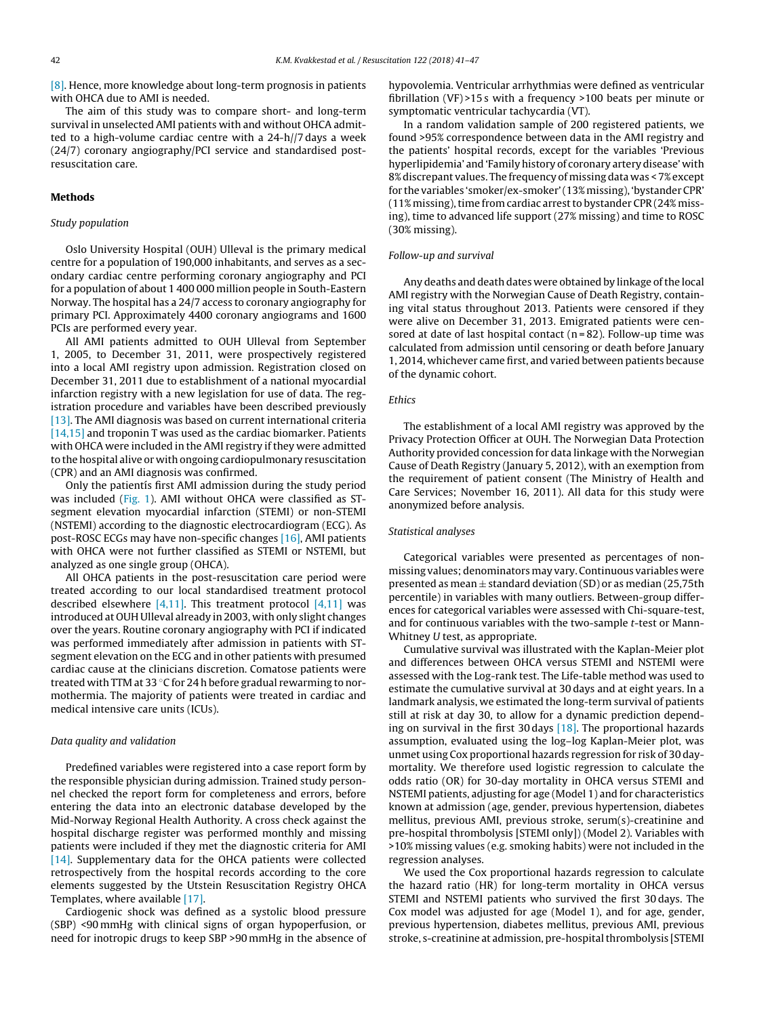[\[8\].](#page-5-0) Hence, more knowledge about long-term prognosis in patients with OHCA due to AMI is needed.

The aim of this study was to compare short- and long-term survival in unselected AMI patients with and without OHCA admitted to a high-volume cardiac centre with a 24-h//7 days a week (24/7) coronary angiography/PCI service and standardised postresuscitation care.

#### **Methods**

#### Study population

Oslo University Hospital (OUH) Ulleval is the primary medical centre for a population of 190,000 inhabitants, and serves as a secondary cardiac centre performing coronary angiography and PCI for a population of about 1 400 000 million people in South-Eastern Norway. The hospital has a 24/7 access to coronary angiography for primary PCI. Approximately 4400 coronary angiograms and 1600 PCIs are performed every year.

All AMI patients admitted to OUH Ulleval from September 1, 2005, to December 31, 2011, were prospectively registered into a local AMI registry upon admission. Registration closed on December 31, 2011 due to establishment of a national myocardial infarction registry with a new legislation for use of data. The registration procedure and variables have been described previously [\[13\].](#page-5-0) The AMI diagnosis was based on current international criteria [\[14,15\]](#page-5-0) and troponin T was used as the cardiac biomarker. Patients with OHCA were included in the AMI registry if they were admitted to the hospital alive or with ongoing cardiopulmonary resuscitation (CPR) and an AMI diagnosis was confirmed.

Only the patientis first AMI admission during the study period was included [\(Fig.](#page-2-0) 1). AMI without OHCA were classified as STsegment elevation myocardial infarction (STEMI) or non-STEMI (NSTEMI) according to the diagnostic electrocardiogram (ECG). As post-ROSC ECGs may have non-specific changes [\[16\],](#page-6-0) AMI patients with OHCA were not further classified as STEMI or NSTEMI, but analyzed as one single group (OHCA).

All OHCA patients in the post-resuscitation care period were treated according to our local standardised treatment protocol described elsewhere  $[4,11]$ . This treatment protocol  $[4,11]$  was introduced at OUH Ulleval already in 2003, with only slight changes over the years. Routine coronary angiography with PCI if indicated was performed immediately after admission in patients with STsegment elevation on the ECG and in other patients with presumed cardiac cause at the clinicians discretion. Comatose patients were treated with TTM at 33 ℃ for 24 h before gradual rewarming to normothermia. The majority of patients were treated in cardiac and medical intensive care units (ICUs).

#### Data quality and validation

Predefined variables were registered into a case report form by the responsible physician during admission. Trained study personnel checked the report form for completeness and errors, before entering the data into an electronic database developed by the Mid-Norway Regional Health Authority. A cross check against the hospital discharge register was performed monthly and missing patients were included if they met the diagnostic criteria for AMI [\[14\].](#page-5-0) Supplementary data for the OHCA patients were collected retrospectively from the hospital records according to the core elements suggested by the Utstein Resuscitation Registry OHCA Templates, where available [\[17\].](#page-6-0)

Cardiogenic shock was defined as a systolic blood pressure (SBP) <90 mmHg with clinical signs of organ hypoperfusion, or need for inotropic drugs to keep SBP >90 mmHg in the absence of hypovolemia. Ventricular arrhythmias were defined as ventricular fibrillation (VF) >15 s with a frequency >100 beats per minute or symptomatic ventricular tachycardia (VT).

In a random validation sample of 200 registered patients, we found >95% correspondence between data in the AMI registry and the patients' hospital records, except for the variables 'Previous hyperlipidemia' and 'Family history of coronary artery disease' with 8% discrepant values. The frequency of missing data was < 7% except for the variables 'smoker/ex-smoker'(13%missing), 'bystanderCPR' (11% missing), time from cardiac arrest to bystander CPR (24% missing), time to advanced life support (27% missing) and time to ROSC (30% missing).

# Follow-up and survival

Any deaths and death dates were obtained by linkage of the local AMI registry with the Norwegian Cause of Death Registry, containing vital status throughout 2013. Patients were censored if they were alive on December 31, 2013. Emigrated patients were censored at date of last hospital contact  $(n = 82)$ . Follow-up time was calculated from admission until censoring or death before January 1, 2014, whichever came first, and varied between patients because of the dynamic cohort.

#### Ethics

The establishment of a local AMI registry was approved by the Privacy Protection Officer at OUH. The Norwegian Data Protection Authority provided concession for data linkage with the Norwegian Cause of Death Registry (January 5, 2012), with an exemption from the requirement of patient consent (The Ministry of Health and Care Services; November 16, 2011). All data for this study were anonymized before analysis.

#### Statistical analyses

Categorical variables were presented as percentages of nonmissing values; denominatorsmay vary. Continuous variables were presented as mean  $\pm$  standard deviation (SD) or as median (25,75th percentile) in variables with many outliers. Between-group differences for categorical variables were assessed with Chi-square-test, and for continuous variables with the two-sample t-test or Mann-Whitney U test, as appropriate.

Cumulative survival was illustrated with the Kaplan-Meier plot and differences between OHCA versus STEMI and NSTEMI were assessed with the Log-rank test. The Life-table method was used to estimate the cumulative survival at 30 days and at eight years. In a landmark analysis, we estimated the long-term survival of patients still at risk at day 30, to allow for a dynamic prediction depending on survival in the first 30 days  $[18]$ . The proportional hazards assumption, evaluated using the log–log Kaplan-Meier plot, was unmet using Cox proportional hazards regression for risk of 30 daymortality. We therefore used logistic regression to calculate the odds ratio (OR) for 30-day mortality in OHCA versus STEMI and NSTEMI patients, adjusting for age (Model 1) and for characteristics known at admission (age, gender, previous hypertension, diabetes mellitus, previous AMI, previous stroke, serum(s)-creatinine and pre-hospital thrombolysis [STEMI only]) (Model 2). Variables with >10% missing values (e.g. smoking habits) were not included in the regression analyses.

We used the Cox proportional hazards regression to calculate the hazard ratio (HR) for long-term mortality in OHCA versus STEMI and NSTEMI patients who survived the first 30 days. The Cox model was adjusted for age (Model 1), and for age, gender, previous hypertension, diabetes mellitus, previous AMI, previous stroke, s-creatinine at admission, pre-hospital thrombolysis [STEMI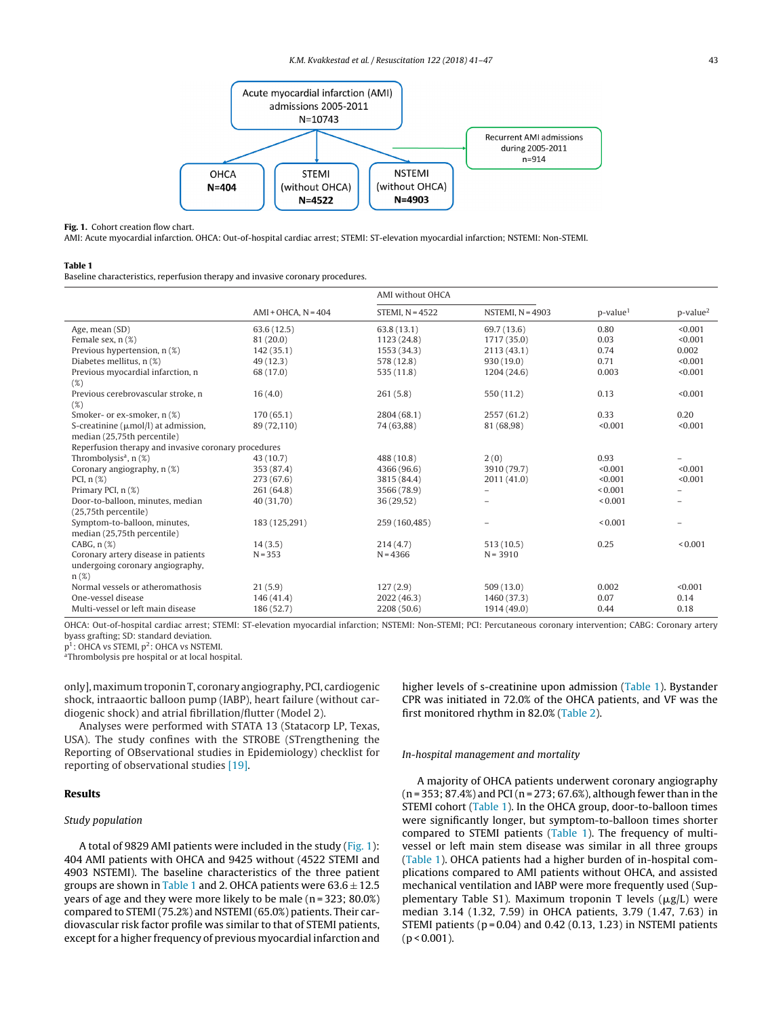<span id="page-2-0"></span>

#### **Fig. 1.** Cohort creation flow chart.

AMI: Acute myocardial infarction. OHCA: Out-of-hospital cardiac arrest; STEMI: ST-elevation myocardial infarction; NSTEMI: Non-STEMI.

#### **Table 1**

Baseline characteristics, reperfusion therapy and invasive coronary procedures.

|                                                      |                          | AMI without OHCA  |                    |                      |                 |
|------------------------------------------------------|--------------------------|-------------------|--------------------|----------------------|-----------------|
|                                                      | $AMI + OHCA$ , $N = 404$ | STEMI, $N = 4522$ | NSTEMI, $N = 4903$ | p-value <sup>1</sup> | $p$ -value $^2$ |
| Age, mean (SD)                                       | 63.6(12.5)               | 63.8(13.1)        | 69.7 (13.6)        | 0.80                 | < 0.001         |
| Female sex, n (%)                                    | 81 (20.0)                | 1123 (24.8)       | 1717 (35.0)        | 0.03                 | < 0.001         |
| Previous hypertension, n (%)                         | 142(35.1)                | 1553 (34.3)       | 2113(43.1)         | 0.74                 | 0.002           |
| Diabetes mellitus, n (%)                             | 49(12.3)                 | 578 (12.8)        | 930(19.0)          | 0.71                 | < 0.001         |
| Previous myocardial infarction, n                    | 68 (17.0)                | 535(11.8)         | 1204 (24.6)        | 0.003                | < 0.001         |
| (%)                                                  |                          |                   |                    |                      |                 |
| Previous cerebrovascular stroke, n                   | 16(4.0)                  | 261(5.8)          | 550 (11.2)         | 0.13                 | < 0.001         |
| (%)                                                  |                          |                   |                    |                      |                 |
| Smoker- or ex-smoker, n (%)                          | 170(65.1)                | 2804 (68.1)       | 2557 (61.2)        | 0.33                 | 0.20            |
| S-creatinine ( $\mu$ mol/l) at admission,            | 89 (72,110)              | 74 (63,88)        | 81 (68,98)         | < 0.001              | < 0.001         |
| median (25,75th percentile)                          |                          |                   |                    |                      |                 |
| Reperfusion therapy and invasive coronary procedures |                          |                   |                    |                      |                 |
| Thrombolysis <sup>a</sup> , $n$ (%)                  | 43 (10.7)                | 488 (10.8)        | 2(0)               | 0.93                 |                 |
| Coronary angiography, n (%)                          | 353 (87.4)               | 4366 (96.6)       | 3910 (79.7)        | < 0.001              | < 0.001         |
| PCI, $n$ $(\%)$                                      | 273 (67.6)               | 3815 (84.4)       | 2011 (41.0)        | < 0.001              | < 0.001         |
| Primary PCI, n (%)                                   | 261 (64.8)               | 3566 (78.9)       |                    | ${}_{0.001}$         |                 |
| Door-to-balloon, minutes, median                     | 40 (31,70)               | 36(29,52)         |                    | ${}_{0.001}$         |                 |
| (25,75th percentile)                                 |                          |                   |                    |                      |                 |
| Symptom-to-balloon, minutes,                         | 183 (125,291)            | 259 (160,485)     |                    | ${}_{0.001}$         | $\equiv$        |
| median (25,75th percentile)                          |                          |                   |                    |                      |                 |
| CABG, $n$ $(\%)$                                     | 14(3.5)                  | 214(4.7)          | 513(10.5)          | 0.25                 | ${}_{0.001}$    |
| Coronary artery disease in patients                  | $N = 353$                | $N = 4366$        | $N = 3910$         |                      |                 |
| undergoing coronary angiography,                     |                          |                   |                    |                      |                 |
| $n(\%)$                                              |                          |                   |                    |                      |                 |
| Normal vessels or atheromathosis                     | 21(5.9)                  | 127(2.9)          | 509(13.0)          | 0.002                | < 0.001         |
| One-vessel disease                                   | 146 (41.4)               | 2022 (46.3)       | 1460 (37.3)        | 0.07                 | 0.14            |
| Multi-vessel or left main disease                    | 186 (52.7)               | 2208 (50.6)       | 1914 (49.0)        | 0.44                 | 0.18            |
|                                                      |                          |                   |                    |                      |                 |

OHCA: Out-of-hospital cardiac arrest; STEMI: ST-elevation myocardial infarction; NSTEMI: Non-STEMI; PCI: Percutaneous coronary intervention; CABG: Coronary artery byass grafting; SD: standard deviation.

p<sup>1</sup>: OHCA vs STEMI, p<sup>2</sup>: OHCA vs NSTEMI.

aThrombolysis pre hospital or at local hospital.

only],maximumtroponinT, coronary angiography, PCI, cardiogenic shock, intraaortic balloon pump (IABP), heart failure (without cardiogenic shock) and atrial fibrillation/flutter (Model 2).

Analyses were performed with STATA 13 (Statacorp LP, Texas, USA). The study confines with the STROBE (STrengthening the Reporting of OBservational studies in Epidemiology) checklist for reporting of observational studies [\[19\].](#page-6-0)

# **Results**

#### Study population

A total of 9829 AMI patients were included in the study (Fig. 1): 404 AMI patients with OHCA and 9425 without (4522 STEMI and 4903 NSTEMI). The baseline characteristics of the three patient groups are shown in Table 1 and 2. OHCA patients were  $63.6 \pm 12.5$ years of age and they were more likely to be male (n = 323; 80.0%) compared to STEMI (75.2%) and NSTEMI (65.0%) patients. Their cardiovascular risk factor profile was similar to that of STEMI patients, except for a higher frequency of previous myocardial infarction and higher levels of s-creatinine upon admission (Table 1). Bystander CPR was initiated in 72.0% of the OHCA patients, and VF was the first monitored rhythm in 82.0% [\(Table](#page-3-0) 2).

#### In-hospital management and mortality

A majority of OHCA patients underwent coronary angiography (n = 353; 87.4%) and PCI(n = 273; 67.6%), although fewer than in the STEMI cohort (Table 1). In the OHCA group, door-to-balloon times were significantly longer, but symptom-to-balloon times shorter compared to STEMI patients (Table 1). The frequency of multivessel or left main stem disease was similar in all three groups (Table 1). OHCA patients had a higher burden of in-hospital complications compared to AMI patients without OHCA, and assisted mechanical ventilation and IABP were more frequently used (Supplementary Table S1). Maximum troponin T levels ( $\mu$ g/L) were median 3.14 (1.32, 7.59) in OHCA patients, 3.79 (1.47, 7.63) in STEMI patients ( $p = 0.04$ ) and 0.42 (0.13, 1.23) in NSTEMI patients  $(p < 0.001)$ .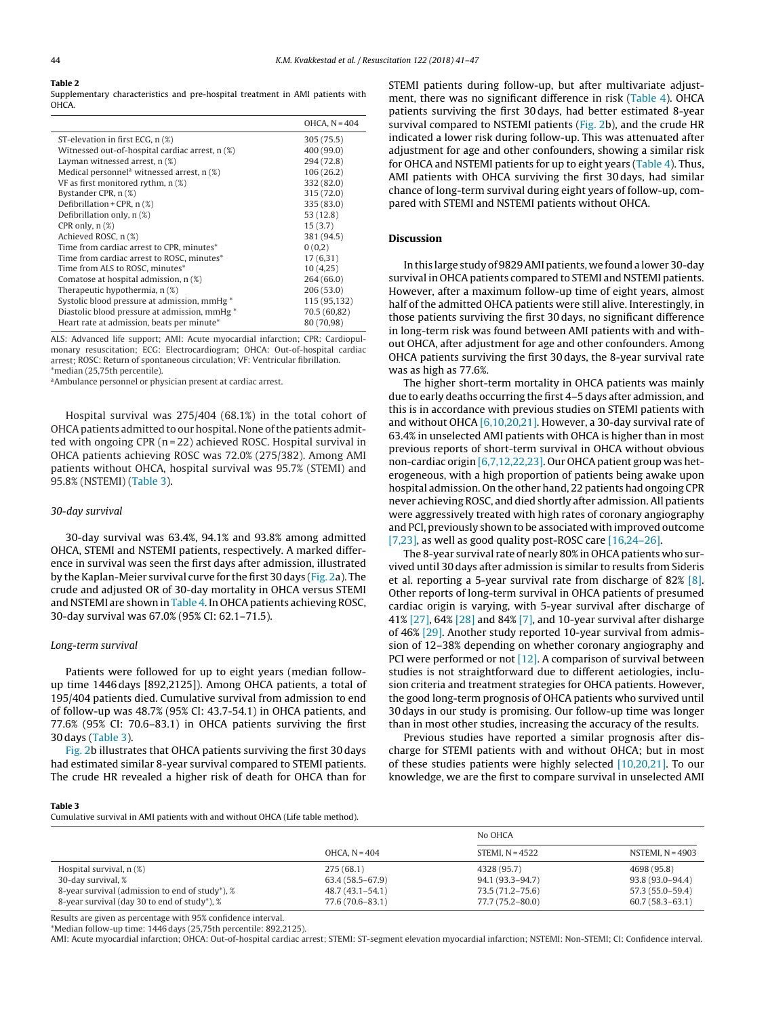# <span id="page-3-0"></span>**Table 2**

Supplementary characteristics and pre-hospital treatment in AMI patients with OHCA.

|                                                          | OHCA, $N = 404$ |
|----------------------------------------------------------|-----------------|
| ST-elevation in first ECG, n (%)                         | 305 (75.5)      |
| Witnessed out-of-hospital cardiac arrest, n (%)          | 400 (99.0)      |
| Layman witnessed arrest, $n$ $(\%)$                      | 294 (72.8)      |
| Medical personnel <sup>a</sup> witnessed arrest, $n$ (%) | 106(26.2)       |
| VF as first monitored rythm, n (%)                       | 332 (82.0)      |
| Bystander CPR, n (%)                                     | 315 (72.0)      |
| Defibrillation + CPR, $n$ (%)                            | 335 (83.0)      |
| Defibrillation only, $n(\%)$                             | 53 (12.8)       |
| CPR only, $n$ $(\%)$                                     | 15(3.7)         |
| Achieved ROSC, n (%)                                     | 381 (94.5)      |
| Time from cardiac arrest to CPR, minutes*                | 0(0,2)          |
| Time from cardiac arrest to ROSC, minutes*               | 17(6,31)        |
| Time from ALS to ROSC, minutes*                          | 10(4,25)        |
| Comatose at hospital admission, n (%)                    | 264 (66.0)      |
| Therapeutic hypothermia, n (%)                           | 206(53.0)       |
| Systolic blood pressure at admission, mmHg <sup>*</sup>  | 115 (95,132)    |
| Diastolic blood pressure at admission, mmHg *            | 70.5 (60,82)    |
| Heart rate at admission, beats per minute*               | 80 (70,98)      |
|                                                          |                 |

ALS: Advanced life support; AMI: Acute myocardial infarction; CPR: Cardiopulmonary resuscitation; ECG: Electrocardiogram; OHCA: Out-of-hospital cardiac arrest; ROSC: Return of spontaneous circulation; VF: Ventricular fibrillation. \*median (25,75th percentile).

aAmbulance personnel or physician present at cardiac arrest.

Hospital survival was 275/404 (68.1%) in the total cohort of OHCA patients admitted to our hospital. None of the patients admitted with ongoing CPR (n = 22) achieved ROSC. Hospital survival in OHCA patients achieving ROSC was 72.0% (275/382). Among AMI patients without OHCA, hospital survival was 95.7% (STEMI) and 95.8% (NSTEMI) (Table 3).

#### 30-day survival

30-day survival was 63.4%, 94.1% and 93.8% among admitted OHCA, STEMI and NSTEMI patients, respectively. A marked difference in survival was seen the first days after admission, illustrated by the Kaplan-Meier survival curve for the first 30 days ([Fig.](#page-4-0) 2a). The crude and adjusted OR of 30-day mortality in OHCA versus STEMI and NSTEMI are shown in [Table](#page-4-0) 4. In OHCA patients achieving ROSC, 30-day survival was 67.0% (95% CI: 62.1–71.5).

## Long-term survival

Patients were followed for up to eight years (median followup time 1446 days [892,2125]). Among OHCA patients, a total of 195/404 patients died. Cumulative survival from admission to end of follow-up was 48.7% (95% CI: 43.7-54.1) in OHCA patients, and 77.6% (95% CI: 70.6–83.1) in OHCA patients surviving the first 30 days (Table 3).

[Fig.](#page-4-0) 2b illustrates that OHCA patients surviving the first 30 days had estimated similar 8-year survival compared to STEMI patients. The crude HR revealed a higher risk of death for OHCA than for STEMI patients during follow-up, but after multivariate adjustment, there was no significant difference in risk [\(Table](#page-4-0) 4). OHCA patients surviving the first 30 days, had better estimated 8-year survival compared to NSTEMI patients ([Fig.](#page-4-0) 2b), and the crude HR indicated a lower risk during follow-up. This was attenuated after adjustment for age and other confounders, showing a similar risk for OHCA and NSTEMI patients for up to eight years ([Table](#page-4-0) 4). Thus, AMI patients with OHCA surviving the first 30 days, had similar chance of long-term survival during eight years of follow-up, compared with STEMI and NSTEMI patients without OHCA.

# **Discussion**

In this large study of 9829AMI patients, we found a lower 30-day survival in OHCA patients compared to STEMI and NSTEMI patients. However, after a maximum follow-up time of eight years, almost half of the admitted OHCA patients were still alive. Interestingly, in those patients surviving the first 30 days, no significant difference in long-term risk was found between AMI patients with and without OHCA, after adjustment for age and other confounders. Among OHCA patients surviving the first 30 days, the 8-year survival rate was as high as 77.6%.

The higher short-term mortality in OHCA patients was mainly due to early deaths occurring the first 4–5 days after admission, and this is in accordance with previous studies on STEMI patients with and without OHCA  $[6,10,20,21]$ . However, a 30-day survival rate of 63.4% in unselected AMI patients with OHCA is higher than in most previous reports of short-term survival in OHCA without obvious non-cardiac origin [\[6,7,12,22,23\].](#page-5-0) Our OHCA patient group was heterogeneous, with a high proportion of patients being awake upon hospital admission. On the other hand, 22 patients had ongoing CPR never achieving ROSC, and died shortly after admission. All patients were aggressively treated with high rates of coronary angiography and PCI, previously shown to be associated with improved outcome [\[7,23\],](#page-5-0) as well as good quality post-ROSC care [\[16,24–26\].](#page-6-0)

The 8-year survival rate of nearly 80% in OHCA patients who survived until 30 days after admission is similar to results from Sideris et al. reporting a 5-year survival rate from discharge of 82% [\[8\].](#page-5-0) Other reports of long-term survival in OHCA patients of presumed cardiac origin is varying, with 5-year survival after discharge of 41% [\[27\],](#page-6-0) 64% [\[28\]](#page-6-0) and 84% [\[7\],](#page-5-0) and 10-year survival after disharge of 46% [\[29\].](#page-6-0) Another study reported 10-year survival from admission of 12–38% depending on whether coronary angiography and PCI were performed or not  $[12]$ . A comparison of survival between studies is not straightforward due to different aetiologies, inclusion criteria and treatment strategies for OHCA patients. However, the good long-term prognosis of OHCA patients who survived until 30 days in our study is promising. Our follow-up time was longer than in most other studies, increasing the accuracy of the results.

Previous studies have reported a similar prognosis after discharge for STEMI patients with and without OHCA; but in most of these studies patients were highly selected [\[10,20,21\].](#page-5-0) To our knowledge, we are the first to compare survival in unselected AMI

#### **Table 3**

Cumulative survival in AMI patients with and without OHCA (Life table method).

|                                                           |                     | No OHCA           |                     |
|-----------------------------------------------------------|---------------------|-------------------|---------------------|
|                                                           | OHCA, $N = 404$     | STEMI, $N = 4522$ | NSTEMI, $N = 4903$  |
| Hospital survival, $n$ $(\%)$                             | 275(68.1)           | 4328 (95.7)       | 4698 (95.8)         |
| 30-day survival, %                                        | 63.4 (58.5–67.9)    | 94.1 (93.3–94.7)  | $93.8(93.0 - 94.4)$ |
| 8-year survival (admission to end of study*), %           | $48.7(43.1 - 54.1)$ | 73.5 (71.2–75.6)  | 57.3 (55.0–59.4)    |
| 8-year survival (day 30 to end of study <sup>*</sup> ), % | 77.6 (70.6–83.1)    | 77.7 (75.2–80.0)  | $60.7(58.3 - 63.1)$ |

Results are given as percentage with 95% confidence interval.

\*Median follow-up time: 1446 days (25,75th percentile: 892,2125).

AMI: Acute myocardial infarction; OHCA: Out-of-hospital cardiac arrest; STEMI: ST-segment elevation myocardial infarction; NSTEMI: Non-STEMI; CI: Confidence interval.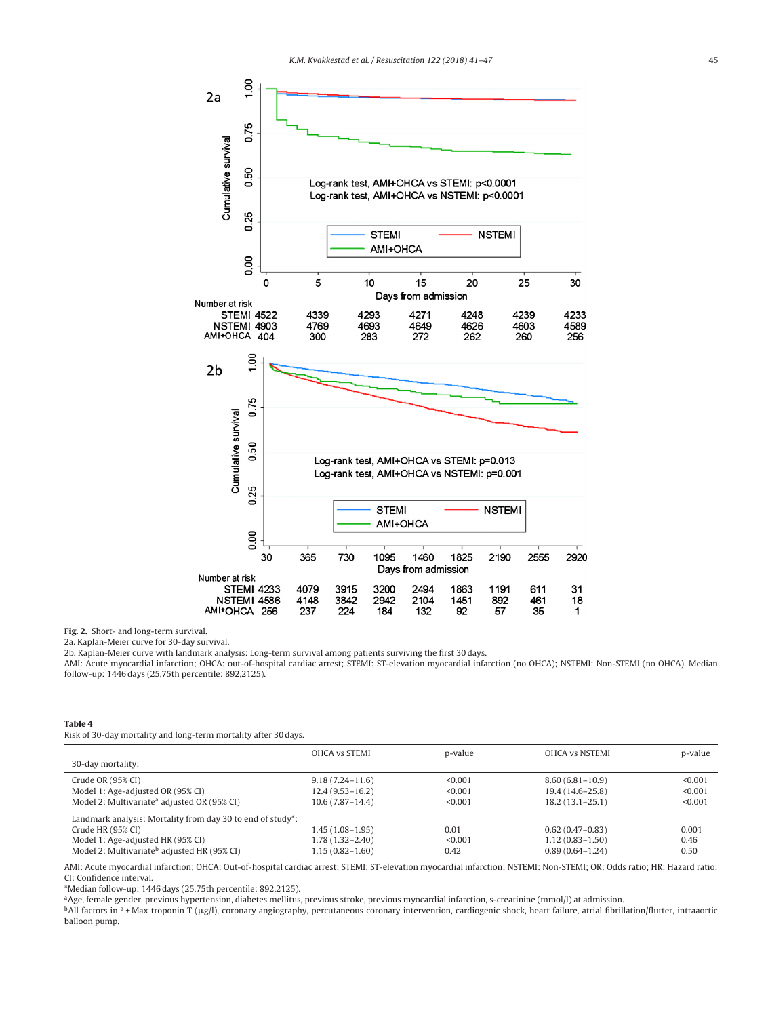<span id="page-4-0"></span>

**Fig. 2.** Short- and long-term survival.

2a. Kaplan-Meier curve for 30-day survival.

AMI: Acute myocardial infarction; OHCA: out-of-hospital cardiac arrest; STEMI: ST-elevation myocardial infarction (no OHCA); NSTEMI: Non-STEMI (no OHCA). Median follow-up: 1446 days (25,75th percentile: 892,2125).

#### **Table 4**

Risk of 30-day mortality and long-term mortality after 30 days.

|                                                                         | <b>OHCA vs STEMI</b> | p-value | <b>OHCA vs NSTEMI</b> | p-value |
|-------------------------------------------------------------------------|----------------------|---------|-----------------------|---------|
| 30-day mortality:                                                       |                      |         |                       |         |
| Crude OR (95% CI)                                                       | $9.18(7.24 - 11.6)$  | < 0.001 | $8.60(6.81-10.9)$     | < 0.001 |
| Model 1: Age-adjusted OR (95% CI)                                       | $12.4(9.53 - 16.2)$  | < 0.001 | 19.4 (14.6–25.8)      | < 0.001 |
| Model 2: Multivariate <sup>a</sup> adjusted OR (95% CI)                 | $10.6(7.87-14.4)$    | < 0.001 | $18.2(13.1 - 25.1)$   | < 0.001 |
| Landmark analysis: Mortality from day 30 to end of study <sup>*</sup> : |                      |         |                       |         |
| Crude HR (95% CI)                                                       | $1.45(1.08-1.95)$    | 0.01    | $0.62(0.47-0.83)$     | 0.001   |
| Model 1: Age-adjusted HR (95% CI)                                       | $1.78(1.32 - 2.40)$  | < 0.001 | $1.12(0.83 - 1.50)$   | 0.46    |
| Model 2: Multivariate <sup>b</sup> adjusted HR (95% CI)                 | $1.15(0.82 - 1.60)$  | 0.42    | $0.89(0.64-1.24)$     | 0.50    |

AMI: Acute myocardial infarction; OHCA: Out-of-hospital cardiac arrest; STEMI: ST-elevation myocardial infarction; NSTEMI: Non-STEMI; OR: Odds ratio; HR: Hazard ratio; CI: Confidence interval.

\*Median follow-up: 1446 days (25,75th percentile: 892,2125).

aAge, female gender, previous hypertension, diabetes mellitus, previous stroke, previous myocardial infarction, s-creatinine (mmol/l) at admission.

 $^{\rm b}$ All factors in a +Max troponin T (µg/l), coronary angiography, percutaneous coronary intervention, cardiogenic shock, heart failure, atrial fibrillation/flutter, intraaortic balloon pump.

<sup>2</sup>b. Kaplan-Meier curve with landmark analysis: Long-term survival among patients surviving the first 30 days.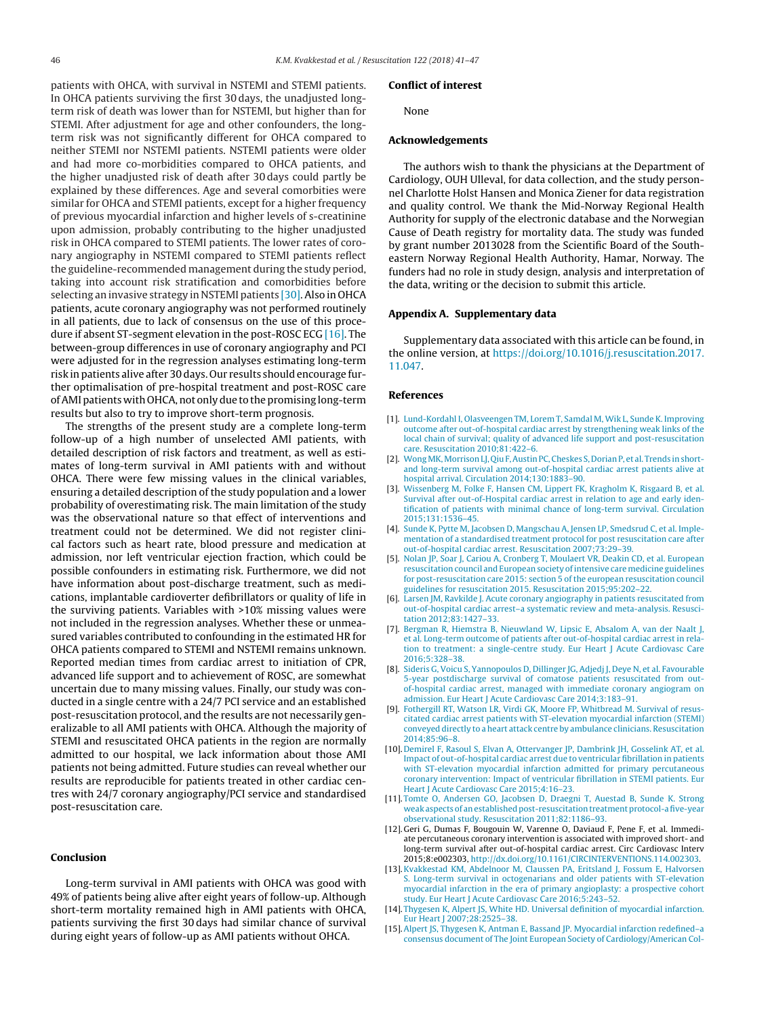<span id="page-5-0"></span>patients with OHCA, with survival in NSTEMI and STEMI patients. In OHCA patients surviving the first 30 days, the unadjusted longterm risk of death was lower than for NSTEMI, but higher than for STEMI. After adjustment for age and other confounders, the longterm risk was not significantly different for OHCA compared to neither STEMI nor NSTEMI patients. NSTEMI patients were older and had more co-morbidities compared to OHCA patients, and the higher unadjusted risk of death after 30 days could partly be explained by these differences. Age and several comorbities were similar for OHCA and STEMI patients, except for a higher frequency of previous myocardial infarction and higher levels of s-creatinine upon admission, probably contributing to the higher unadjusted risk in OHCA compared to STEMI patients. The lower rates of coronary angiography in NSTEMI compared to STEMI patients reflect the guideline-recommended management during the study period, taking into account risk stratification and comorbidities before selecting an invasive strategy in NSTEMI patients [30]. Also in OHCA patients, acute coronary angiography was not performed routinely in all patients, due to lack of consensus on the use of this procedure if absent ST-segment elevation in the post-ROSC ECG [\[16\].](#page-6-0) The between-group differences in use of coronary angiography and PCI were adjusted for in the regression analyses estimating long-term risk in patients alive after 30 days. Our results should encourage further optimalisation of pre-hospital treatment and post-ROSC care of AMI patients with OHCA, not only due to the promising long-term results but also to try to improve short-term prognosis.

The strengths of the present study are a complete long-term follow-up of a high number of unselected AMI patients, with detailed description of risk factors and treatment, as well as estimates of long-term survival in AMI patients with and without OHCA. There were few missing values in the clinical variables, ensuring a detailed description of the study population and a lower probability of overestimating risk. The main limitation of the study was the observational nature so that effect of interventions and treatment could not be determined. We did not register clinical factors such as heart rate, blood pressure and medication at admission, nor left ventricular ejection fraction, which could be possible confounders in estimating risk. Furthermore, we did not have information about post-discharge treatment, such as medications, implantable cardioverter defibrillators or quality of life in the surviving patients. Variables with >10% missing values were not included in the regression analyses. Whether these or unmeasured variables contributed to confounding in the estimated HR for OHCA patients compared to STEMI and NSTEMI remains unknown. Reported median times from cardiac arrest to initiation of CPR, advanced life support and to achievement of ROSC, are somewhat uncertain due to many missing values. Finally, our study was conducted in a single centre with a 24/7 PCI service and an established post-resuscitation protocol, and the results are not necessarily generalizable to all AMI patients with OHCA. Although the majority of STEMI and resuscitated OHCA patients in the region are normally admitted to our hospital, we lack information about those AMI patients not being admitted. Future studies can reveal whether our results are reproducible for patients treated in other cardiac centres with 24/7 coronary angiography/PCI service and standardised post-resuscitation care.

# **Conclusion**

Long-term survival in AMI patients with OHCA was good with 49% of patients being alive after eight years of follow-up. Although short-term mortality remained high in AMI patients with OHCA, patients surviving the first 30 days had similar chance of survival during eight years of follow-up as AMI patients without OHCA.

# **Conflict of interest**

None

## **Acknowledgements**

The authors wish to thank the physicians at the Department of Cardiology, OUH Ulleval, for data collection, and the study personnel Charlotte Holst Hansen and Monica Ziener for data registration and quality control. We thank the Mid-Norway Regional Health Authority for supply of the electronic database and the Norwegian Cause of Death registry for mortality data. The study was funded by grant number 2013028 from the Scientific Board of the Southeastern Norway Regional Health Authority, Hamar, Norway. The funders had no role in study design, analysis and interpretation of the data, writing or the decision to submit this article.

# **Appendix A. Supplementary data**

Supplementary data associated with this article can be found, in the online version, at [https://doi.org/10.1016/j.resuscitation.2017.](http://dx.doi.org/10.1016/j.resuscitation.2017.11.047) [11.047](http://dx.doi.org/10.1016/j.resuscitation.2017.11.047).

#### **References**

- [1]. [Lund-Kordahl](http://refhub.elsevier.com/S0300-9572(17)30737-2/sbref0005) [I,](http://refhub.elsevier.com/S0300-9572(17)30737-2/sbref0005) [Olasveengen](http://refhub.elsevier.com/S0300-9572(17)30737-2/sbref0005) [TM,](http://refhub.elsevier.com/S0300-9572(17)30737-2/sbref0005) [Lorem](http://refhub.elsevier.com/S0300-9572(17)30737-2/sbref0005) [T,](http://refhub.elsevier.com/S0300-9572(17)30737-2/sbref0005) [Samdal](http://refhub.elsevier.com/S0300-9572(17)30737-2/sbref0005) [M,](http://refhub.elsevier.com/S0300-9572(17)30737-2/sbref0005) [Wik](http://refhub.elsevier.com/S0300-9572(17)30737-2/sbref0005) [L,](http://refhub.elsevier.com/S0300-9572(17)30737-2/sbref0005) [Sunde](http://refhub.elsevier.com/S0300-9572(17)30737-2/sbref0005) [K.](http://refhub.elsevier.com/S0300-9572(17)30737-2/sbref0005) [Improving](http://refhub.elsevier.com/S0300-9572(17)30737-2/sbref0005) [outcome](http://refhub.elsevier.com/S0300-9572(17)30737-2/sbref0005) [after](http://refhub.elsevier.com/S0300-9572(17)30737-2/sbref0005) [out-of-hospital](http://refhub.elsevier.com/S0300-9572(17)30737-2/sbref0005) [cardiac](http://refhub.elsevier.com/S0300-9572(17)30737-2/sbref0005) [arrest](http://refhub.elsevier.com/S0300-9572(17)30737-2/sbref0005) [by](http://refhub.elsevier.com/S0300-9572(17)30737-2/sbref0005) [strengthening](http://refhub.elsevier.com/S0300-9572(17)30737-2/sbref0005) [weak](http://refhub.elsevier.com/S0300-9572(17)30737-2/sbref0005) [links](http://refhub.elsevier.com/S0300-9572(17)30737-2/sbref0005) [of](http://refhub.elsevier.com/S0300-9572(17)30737-2/sbref0005) [the](http://refhub.elsevier.com/S0300-9572(17)30737-2/sbref0005) [local](http://refhub.elsevier.com/S0300-9572(17)30737-2/sbref0005) [chain](http://refhub.elsevier.com/S0300-9572(17)30737-2/sbref0005) [of](http://refhub.elsevier.com/S0300-9572(17)30737-2/sbref0005) [survival;](http://refhub.elsevier.com/S0300-9572(17)30737-2/sbref0005) [quality](http://refhub.elsevier.com/S0300-9572(17)30737-2/sbref0005) of [advanced](http://refhub.elsevier.com/S0300-9572(17)30737-2/sbref0005) [life](http://refhub.elsevier.com/S0300-9572(17)30737-2/sbref0005) [support](http://refhub.elsevier.com/S0300-9572(17)30737-2/sbref0005) [and](http://refhub.elsevier.com/S0300-9572(17)30737-2/sbref0005) [post-resuscitation](http://refhub.elsevier.com/S0300-9572(17)30737-2/sbref0005) [care.](http://refhub.elsevier.com/S0300-9572(17)30737-2/sbref0005) [Resuscitation](http://refhub.elsevier.com/S0300-9572(17)30737-2/sbref0005) [2010;81:422–6.](http://refhub.elsevier.com/S0300-9572(17)30737-2/sbref0005)
- [2]. Wong MK, Morrison LJ, Qiu F, Austin PC, Cheskes [S,](http://refhub.elsevier.com/S0300-9572(17)30737-2/sbref0010) Dorian P, [et](http://refhub.elsevier.com/S0300-9572(17)30737-2/sbref0010) [al.](http://refhub.elsevier.com/S0300-9572(17)30737-2/sbref0010) [Trends](http://refhub.elsevier.com/S0300-9572(17)30737-2/sbref0010) in short[and](http://refhub.elsevier.com/S0300-9572(17)30737-2/sbref0010) [long-term](http://refhub.elsevier.com/S0300-9572(17)30737-2/sbref0010) [survival](http://refhub.elsevier.com/S0300-9572(17)30737-2/sbref0010) [among](http://refhub.elsevier.com/S0300-9572(17)30737-2/sbref0010) [out-of-hospital](http://refhub.elsevier.com/S0300-9572(17)30737-2/sbref0010) [cardiac](http://refhub.elsevier.com/S0300-9572(17)30737-2/sbref0010) [arrest](http://refhub.elsevier.com/S0300-9572(17)30737-2/sbref0010) [patients](http://refhub.elsevier.com/S0300-9572(17)30737-2/sbref0010) [alive](http://refhub.elsevier.com/S0300-9572(17)30737-2/sbref0010) [at](http://refhub.elsevier.com/S0300-9572(17)30737-2/sbref0010) [hospital](http://refhub.elsevier.com/S0300-9572(17)30737-2/sbref0010) [arrival.](http://refhub.elsevier.com/S0300-9572(17)30737-2/sbref0010) [Circulation](http://refhub.elsevier.com/S0300-9572(17)30737-2/sbref0010) [2014;130:1883–90.](http://refhub.elsevier.com/S0300-9572(17)30737-2/sbref0010)
- [3]. [Wissenberg](http://refhub.elsevier.com/S0300-9572(17)30737-2/sbref0015) [M,](http://refhub.elsevier.com/S0300-9572(17)30737-2/sbref0015) [Folke](http://refhub.elsevier.com/S0300-9572(17)30737-2/sbref0015) [F,](http://refhub.elsevier.com/S0300-9572(17)30737-2/sbref0015) [Hansen](http://refhub.elsevier.com/S0300-9572(17)30737-2/sbref0015) [CM,](http://refhub.elsevier.com/S0300-9572(17)30737-2/sbref0015) [Lippert](http://refhub.elsevier.com/S0300-9572(17)30737-2/sbref0015) [FK,](http://refhub.elsevier.com/S0300-9572(17)30737-2/sbref0015) [Kragholm](http://refhub.elsevier.com/S0300-9572(17)30737-2/sbref0015) [K,](http://refhub.elsevier.com/S0300-9572(17)30737-2/sbref0015) [Risgaard](http://refhub.elsevier.com/S0300-9572(17)30737-2/sbref0015) [B,](http://refhub.elsevier.com/S0300-9572(17)30737-2/sbref0015) [et](http://refhub.elsevier.com/S0300-9572(17)30737-2/sbref0015) [al.](http://refhub.elsevier.com/S0300-9572(17)30737-2/sbref0015) [Survival](http://refhub.elsevier.com/S0300-9572(17)30737-2/sbref0015) [after](http://refhub.elsevier.com/S0300-9572(17)30737-2/sbref0015) [out-of-Hospital](http://refhub.elsevier.com/S0300-9572(17)30737-2/sbref0015) [cardiac](http://refhub.elsevier.com/S0300-9572(17)30737-2/sbref0015) [arrest](http://refhub.elsevier.com/S0300-9572(17)30737-2/sbref0015) [in](http://refhub.elsevier.com/S0300-9572(17)30737-2/sbref0015) [relation](http://refhub.elsevier.com/S0300-9572(17)30737-2/sbref0015) [to](http://refhub.elsevier.com/S0300-9572(17)30737-2/sbref0015) [age](http://refhub.elsevier.com/S0300-9572(17)30737-2/sbref0015) [and](http://refhub.elsevier.com/S0300-9572(17)30737-2/sbref0015) [early](http://refhub.elsevier.com/S0300-9572(17)30737-2/sbref0015) [iden](http://refhub.elsevier.com/S0300-9572(17)30737-2/sbref0015)[tification](http://refhub.elsevier.com/S0300-9572(17)30737-2/sbref0015) [of](http://refhub.elsevier.com/S0300-9572(17)30737-2/sbref0015) [patients](http://refhub.elsevier.com/S0300-9572(17)30737-2/sbref0015) [with](http://refhub.elsevier.com/S0300-9572(17)30737-2/sbref0015) [minimal](http://refhub.elsevier.com/S0300-9572(17)30737-2/sbref0015) [chance](http://refhub.elsevier.com/S0300-9572(17)30737-2/sbref0015) [of](http://refhub.elsevier.com/S0300-9572(17)30737-2/sbref0015) [long-term](http://refhub.elsevier.com/S0300-9572(17)30737-2/sbref0015) [survival.](http://refhub.elsevier.com/S0300-9572(17)30737-2/sbref0015) [Circulation](http://refhub.elsevier.com/S0300-9572(17)30737-2/sbref0015) [2015;131:1536–45.](http://refhub.elsevier.com/S0300-9572(17)30737-2/sbref0015)
- [4]. [Sunde](http://refhub.elsevier.com/S0300-9572(17)30737-2/sbref0020) [K,](http://refhub.elsevier.com/S0300-9572(17)30737-2/sbref0020) [Pytte](http://refhub.elsevier.com/S0300-9572(17)30737-2/sbref0020) [M,](http://refhub.elsevier.com/S0300-9572(17)30737-2/sbref0020) [Jacobsen](http://refhub.elsevier.com/S0300-9572(17)30737-2/sbref0020) [D,](http://refhub.elsevier.com/S0300-9572(17)30737-2/sbref0020) [Mangschau](http://refhub.elsevier.com/S0300-9572(17)30737-2/sbref0020) [A,](http://refhub.elsevier.com/S0300-9572(17)30737-2/sbref0020) [Jensen](http://refhub.elsevier.com/S0300-9572(17)30737-2/sbref0020) [LP,](http://refhub.elsevier.com/S0300-9572(17)30737-2/sbref0020) [Smedsrud](http://refhub.elsevier.com/S0300-9572(17)30737-2/sbref0020) [C,](http://refhub.elsevier.com/S0300-9572(17)30737-2/sbref0020) [et](http://refhub.elsevier.com/S0300-9572(17)30737-2/sbref0020) [al.](http://refhub.elsevier.com/S0300-9572(17)30737-2/sbref0020) [Imple](http://refhub.elsevier.com/S0300-9572(17)30737-2/sbref0020)[mentation](http://refhub.elsevier.com/S0300-9572(17)30737-2/sbref0020) [of](http://refhub.elsevier.com/S0300-9572(17)30737-2/sbref0020) [a](http://refhub.elsevier.com/S0300-9572(17)30737-2/sbref0020) [standardised](http://refhub.elsevier.com/S0300-9572(17)30737-2/sbref0020) [treatment](http://refhub.elsevier.com/S0300-9572(17)30737-2/sbref0020) [protocol](http://refhub.elsevier.com/S0300-9572(17)30737-2/sbref0020) [for](http://refhub.elsevier.com/S0300-9572(17)30737-2/sbref0020) [post](http://refhub.elsevier.com/S0300-9572(17)30737-2/sbref0020) [resuscitation](http://refhub.elsevier.com/S0300-9572(17)30737-2/sbref0020) [care](http://refhub.elsevier.com/S0300-9572(17)30737-2/sbref0020) [after](http://refhub.elsevier.com/S0300-9572(17)30737-2/sbref0020) [out-of-hospital](http://refhub.elsevier.com/S0300-9572(17)30737-2/sbref0020) [cardiac](http://refhub.elsevier.com/S0300-9572(17)30737-2/sbref0020) [arrest.](http://refhub.elsevier.com/S0300-9572(17)30737-2/sbref0020) [Resuscitation](http://refhub.elsevier.com/S0300-9572(17)30737-2/sbref0020) [2007;73:29](http://refhub.elsevier.com/S0300-9572(17)30737-2/sbref0020)–[39.](http://refhub.elsevier.com/S0300-9572(17)30737-2/sbref0020)
- [5]. [Nolan](http://refhub.elsevier.com/S0300-9572(17)30737-2/sbref0025) [JP,](http://refhub.elsevier.com/S0300-9572(17)30737-2/sbref0025) [Soar](http://refhub.elsevier.com/S0300-9572(17)30737-2/sbref0025) [J,](http://refhub.elsevier.com/S0300-9572(17)30737-2/sbref0025) [Cariou](http://refhub.elsevier.com/S0300-9572(17)30737-2/sbref0025) [A,](http://refhub.elsevier.com/S0300-9572(17)30737-2/sbref0025) [Cronberg](http://refhub.elsevier.com/S0300-9572(17)30737-2/sbref0025) [T,](http://refhub.elsevier.com/S0300-9572(17)30737-2/sbref0025) [Moulaert](http://refhub.elsevier.com/S0300-9572(17)30737-2/sbref0025) [VR,](http://refhub.elsevier.com/S0300-9572(17)30737-2/sbref0025) [Deakin](http://refhub.elsevier.com/S0300-9572(17)30737-2/sbref0025) [CD,](http://refhub.elsevier.com/S0300-9572(17)30737-2/sbref0025) [et](http://refhub.elsevier.com/S0300-9572(17)30737-2/sbref0025) [al.](http://refhub.elsevier.com/S0300-9572(17)30737-2/sbref0025) [European](http://refhub.elsevier.com/S0300-9572(17)30737-2/sbref0025) [resuscitation](http://refhub.elsevier.com/S0300-9572(17)30737-2/sbref0025) [council](http://refhub.elsevier.com/S0300-9572(17)30737-2/sbref0025) [and](http://refhub.elsevier.com/S0300-9572(17)30737-2/sbref0025) [European](http://refhub.elsevier.com/S0300-9572(17)30737-2/sbref0025) [society](http://refhub.elsevier.com/S0300-9572(17)30737-2/sbref0025) [ofintensive](http://refhub.elsevier.com/S0300-9572(17)30737-2/sbref0025) [care](http://refhub.elsevier.com/S0300-9572(17)30737-2/sbref0025) [medicine](http://refhub.elsevier.com/S0300-9572(17)30737-2/sbref0025) [guidelines](http://refhub.elsevier.com/S0300-9572(17)30737-2/sbref0025) [for](http://refhub.elsevier.com/S0300-9572(17)30737-2/sbref0025) [post-resuscitation](http://refhub.elsevier.com/S0300-9572(17)30737-2/sbref0025) [care](http://refhub.elsevier.com/S0300-9572(17)30737-2/sbref0025) [2015:](http://refhub.elsevier.com/S0300-9572(17)30737-2/sbref0025) [section](http://refhub.elsevier.com/S0300-9572(17)30737-2/sbref0025) [5](http://refhub.elsevier.com/S0300-9572(17)30737-2/sbref0025) [of](http://refhub.elsevier.com/S0300-9572(17)30737-2/sbref0025) [the](http://refhub.elsevier.com/S0300-9572(17)30737-2/sbref0025) [european](http://refhub.elsevier.com/S0300-9572(17)30737-2/sbref0025) [resuscitation](http://refhub.elsevier.com/S0300-9572(17)30737-2/sbref0025) [council](http://refhub.elsevier.com/S0300-9572(17)30737-2/sbref0025) [guidelines](http://refhub.elsevier.com/S0300-9572(17)30737-2/sbref0025) [for](http://refhub.elsevier.com/S0300-9572(17)30737-2/sbref0025) [resuscitation](http://refhub.elsevier.com/S0300-9572(17)30737-2/sbref0025) [2015.](http://refhub.elsevier.com/S0300-9572(17)30737-2/sbref0025) [Resuscitation](http://refhub.elsevier.com/S0300-9572(17)30737-2/sbref0025) [2015;95:202](http://refhub.elsevier.com/S0300-9572(17)30737-2/sbref0025)–[22.](http://refhub.elsevier.com/S0300-9572(17)30737-2/sbref0025)
- [6]. [Larsen](http://refhub.elsevier.com/S0300-9572(17)30737-2/sbref0030) [JM,](http://refhub.elsevier.com/S0300-9572(17)30737-2/sbref0030) [Ravkilde](http://refhub.elsevier.com/S0300-9572(17)30737-2/sbref0030) [J.](http://refhub.elsevier.com/S0300-9572(17)30737-2/sbref0030) [Acute](http://refhub.elsevier.com/S0300-9572(17)30737-2/sbref0030) [coronary](http://refhub.elsevier.com/S0300-9572(17)30737-2/sbref0030) [angiography](http://refhub.elsevier.com/S0300-9572(17)30737-2/sbref0030) [in](http://refhub.elsevier.com/S0300-9572(17)30737-2/sbref0030) [patients](http://refhub.elsevier.com/S0300-9572(17)30737-2/sbref0030) [resuscitated](http://refhub.elsevier.com/S0300-9572(17)30737-2/sbref0030) [from](http://refhub.elsevier.com/S0300-9572(17)30737-2/sbref0030) [out-of-hospital](http://refhub.elsevier.com/S0300-9572(17)30737-2/sbref0030) [cardiac](http://refhub.elsevier.com/S0300-9572(17)30737-2/sbref0030) [arrest–a](http://refhub.elsevier.com/S0300-9572(17)30737-2/sbref0030) [systematic](http://refhub.elsevier.com/S0300-9572(17)30737-2/sbref0030) [review](http://refhub.elsevier.com/S0300-9572(17)30737-2/sbref0030) [and](http://refhub.elsevier.com/S0300-9572(17)30737-2/sbref0030) [meta-analysis.](http://refhub.elsevier.com/S0300-9572(17)30737-2/sbref0030) [Resusci](http://refhub.elsevier.com/S0300-9572(17)30737-2/sbref0030)[tation](http://refhub.elsevier.com/S0300-9572(17)30737-2/sbref0030) [2012;83:1427–33.](http://refhub.elsevier.com/S0300-9572(17)30737-2/sbref0030)
- [7]. [Bergman](http://refhub.elsevier.com/S0300-9572(17)30737-2/sbref0035) [R,](http://refhub.elsevier.com/S0300-9572(17)30737-2/sbref0035) [Hiemstra](http://refhub.elsevier.com/S0300-9572(17)30737-2/sbref0035) [B,](http://refhub.elsevier.com/S0300-9572(17)30737-2/sbref0035) [Nieuwland](http://refhub.elsevier.com/S0300-9572(17)30737-2/sbref0035) [W,](http://refhub.elsevier.com/S0300-9572(17)30737-2/sbref0035) [Lipsic](http://refhub.elsevier.com/S0300-9572(17)30737-2/sbref0035) [E,](http://refhub.elsevier.com/S0300-9572(17)30737-2/sbref0035) [Absalom](http://refhub.elsevier.com/S0300-9572(17)30737-2/sbref0035) [A,](http://refhub.elsevier.com/S0300-9572(17)30737-2/sbref0035) [van](http://refhub.elsevier.com/S0300-9572(17)30737-2/sbref0035) [der](http://refhub.elsevier.com/S0300-9572(17)30737-2/sbref0035) [Naalt](http://refhub.elsevier.com/S0300-9572(17)30737-2/sbref0035) [J,](http://refhub.elsevier.com/S0300-9572(17)30737-2/sbref0035) [et](http://refhub.elsevier.com/S0300-9572(17)30737-2/sbref0035) [al.](http://refhub.elsevier.com/S0300-9572(17)30737-2/sbref0035) [Long-term](http://refhub.elsevier.com/S0300-9572(17)30737-2/sbref0035) [outcome](http://refhub.elsevier.com/S0300-9572(17)30737-2/sbref0035) [of](http://refhub.elsevier.com/S0300-9572(17)30737-2/sbref0035) [patients](http://refhub.elsevier.com/S0300-9572(17)30737-2/sbref0035) [after](http://refhub.elsevier.com/S0300-9572(17)30737-2/sbref0035) [out-of-hospital](http://refhub.elsevier.com/S0300-9572(17)30737-2/sbref0035) [cardiac](http://refhub.elsevier.com/S0300-9572(17)30737-2/sbref0035) [arrest](http://refhub.elsevier.com/S0300-9572(17)30737-2/sbref0035) [in](http://refhub.elsevier.com/S0300-9572(17)30737-2/sbref0035) [rela](http://refhub.elsevier.com/S0300-9572(17)30737-2/sbref0035)[tion](http://refhub.elsevier.com/S0300-9572(17)30737-2/sbref0035) [to](http://refhub.elsevier.com/S0300-9572(17)30737-2/sbref0035) [treatment:](http://refhub.elsevier.com/S0300-9572(17)30737-2/sbref0035) [a](http://refhub.elsevier.com/S0300-9572(17)30737-2/sbref0035) [single-centre](http://refhub.elsevier.com/S0300-9572(17)30737-2/sbref0035) [study.](http://refhub.elsevier.com/S0300-9572(17)30737-2/sbref0035) [Eur](http://refhub.elsevier.com/S0300-9572(17)30737-2/sbref0035) [Heart](http://refhub.elsevier.com/S0300-9572(17)30737-2/sbref0035) [J](http://refhub.elsevier.com/S0300-9572(17)30737-2/sbref0035) [Acute](http://refhub.elsevier.com/S0300-9572(17)30737-2/sbref0035) [Cardiovasc](http://refhub.elsevier.com/S0300-9572(17)30737-2/sbref0035) [Care](http://refhub.elsevier.com/S0300-9572(17)30737-2/sbref0035) [2016;5:328](http://refhub.elsevier.com/S0300-9572(17)30737-2/sbref0035)–[38.](http://refhub.elsevier.com/S0300-9572(17)30737-2/sbref0035)
- [8]. [Sideris](http://refhub.elsevier.com/S0300-9572(17)30737-2/sbref0040) [G,](http://refhub.elsevier.com/S0300-9572(17)30737-2/sbref0040) [Voicu](http://refhub.elsevier.com/S0300-9572(17)30737-2/sbref0040) [S,](http://refhub.elsevier.com/S0300-9572(17)30737-2/sbref0040) [Yannopoulos](http://refhub.elsevier.com/S0300-9572(17)30737-2/sbref0040) [D,](http://refhub.elsevier.com/S0300-9572(17)30737-2/sbref0040) [Dillinger](http://refhub.elsevier.com/S0300-9572(17)30737-2/sbref0040) [JG,](http://refhub.elsevier.com/S0300-9572(17)30737-2/sbref0040) [Adjedj](http://refhub.elsevier.com/S0300-9572(17)30737-2/sbref0040) [J,](http://refhub.elsevier.com/S0300-9572(17)30737-2/sbref0040) [Deye](http://refhub.elsevier.com/S0300-9572(17)30737-2/sbref0040) [N,](http://refhub.elsevier.com/S0300-9572(17)30737-2/sbref0040) [et](http://refhub.elsevier.com/S0300-9572(17)30737-2/sbref0040) [al.](http://refhub.elsevier.com/S0300-9572(17)30737-2/sbref0040) [Favourable](http://refhub.elsevier.com/S0300-9572(17)30737-2/sbref0040) [5-year](http://refhub.elsevier.com/S0300-9572(17)30737-2/sbref0040) [postdischarge](http://refhub.elsevier.com/S0300-9572(17)30737-2/sbref0040) [survival](http://refhub.elsevier.com/S0300-9572(17)30737-2/sbref0040) [of](http://refhub.elsevier.com/S0300-9572(17)30737-2/sbref0040) [comatose](http://refhub.elsevier.com/S0300-9572(17)30737-2/sbref0040) [patients](http://refhub.elsevier.com/S0300-9572(17)30737-2/sbref0040) [resuscitated](http://refhub.elsevier.com/S0300-9572(17)30737-2/sbref0040) [from](http://refhub.elsevier.com/S0300-9572(17)30737-2/sbref0040) [out](http://refhub.elsevier.com/S0300-9572(17)30737-2/sbref0040)[of-hospital](http://refhub.elsevier.com/S0300-9572(17)30737-2/sbref0040) [cardiac](http://refhub.elsevier.com/S0300-9572(17)30737-2/sbref0040) [arrest,](http://refhub.elsevier.com/S0300-9572(17)30737-2/sbref0040) [managed](http://refhub.elsevier.com/S0300-9572(17)30737-2/sbref0040) [with](http://refhub.elsevier.com/S0300-9572(17)30737-2/sbref0040) [immediate](http://refhub.elsevier.com/S0300-9572(17)30737-2/sbref0040) [coronary](http://refhub.elsevier.com/S0300-9572(17)30737-2/sbref0040) [angiogram](http://refhub.elsevier.com/S0300-9572(17)30737-2/sbref0040) [on](http://refhub.elsevier.com/S0300-9572(17)30737-2/sbref0040) [admission.](http://refhub.elsevier.com/S0300-9572(17)30737-2/sbref0040) [Eur](http://refhub.elsevier.com/S0300-9572(17)30737-2/sbref0040) [Heart](http://refhub.elsevier.com/S0300-9572(17)30737-2/sbref0040) [J](http://refhub.elsevier.com/S0300-9572(17)30737-2/sbref0040) [Acute](http://refhub.elsevier.com/S0300-9572(17)30737-2/sbref0040) [Cardiovasc](http://refhub.elsevier.com/S0300-9572(17)30737-2/sbref0040) [Care](http://refhub.elsevier.com/S0300-9572(17)30737-2/sbref0040) [2014;3:183–91.](http://refhub.elsevier.com/S0300-9572(17)30737-2/sbref0040)
- [9]. [Fothergill](http://refhub.elsevier.com/S0300-9572(17)30737-2/sbref0045) [RT,](http://refhub.elsevier.com/S0300-9572(17)30737-2/sbref0045) [Watson](http://refhub.elsevier.com/S0300-9572(17)30737-2/sbref0045) [LR,](http://refhub.elsevier.com/S0300-9572(17)30737-2/sbref0045) [Virdi](http://refhub.elsevier.com/S0300-9572(17)30737-2/sbref0045) [GK,](http://refhub.elsevier.com/S0300-9572(17)30737-2/sbref0045) [Moore](http://refhub.elsevier.com/S0300-9572(17)30737-2/sbref0045) [FP,](http://refhub.elsevier.com/S0300-9572(17)30737-2/sbref0045) [Whitbread](http://refhub.elsevier.com/S0300-9572(17)30737-2/sbref0045) [M.](http://refhub.elsevier.com/S0300-9572(17)30737-2/sbref0045) [Survival](http://refhub.elsevier.com/S0300-9572(17)30737-2/sbref0045) [of](http://refhub.elsevier.com/S0300-9572(17)30737-2/sbref0045) [resus](http://refhub.elsevier.com/S0300-9572(17)30737-2/sbref0045)[citated](http://refhub.elsevier.com/S0300-9572(17)30737-2/sbref0045) [cardiac](http://refhub.elsevier.com/S0300-9572(17)30737-2/sbref0045) [arrest](http://refhub.elsevier.com/S0300-9572(17)30737-2/sbref0045) [patients](http://refhub.elsevier.com/S0300-9572(17)30737-2/sbref0045) [with](http://refhub.elsevier.com/S0300-9572(17)30737-2/sbref0045) [ST-elevation](http://refhub.elsevier.com/S0300-9572(17)30737-2/sbref0045) [myocardial](http://refhub.elsevier.com/S0300-9572(17)30737-2/sbref0045) [infarction](http://refhub.elsevier.com/S0300-9572(17)30737-2/sbref0045) [\(STEMI\)](http://refhub.elsevier.com/S0300-9572(17)30737-2/sbref0045) [conveyed](http://refhub.elsevier.com/S0300-9572(17)30737-2/sbref0045) [directly](http://refhub.elsevier.com/S0300-9572(17)30737-2/sbref0045) [to](http://refhub.elsevier.com/S0300-9572(17)30737-2/sbref0045) [a](http://refhub.elsevier.com/S0300-9572(17)30737-2/sbref0045) [heart](http://refhub.elsevier.com/S0300-9572(17)30737-2/sbref0045) [attack](http://refhub.elsevier.com/S0300-9572(17)30737-2/sbref0045) [centre](http://refhub.elsevier.com/S0300-9572(17)30737-2/sbref0045) [by](http://refhub.elsevier.com/S0300-9572(17)30737-2/sbref0045) [ambulance](http://refhub.elsevier.com/S0300-9572(17)30737-2/sbref0045) [clinicians.](http://refhub.elsevier.com/S0300-9572(17)30737-2/sbref0045) [Resuscitation](http://refhub.elsevier.com/S0300-9572(17)30737-2/sbref0045) [2014;85:96–8.](http://refhub.elsevier.com/S0300-9572(17)30737-2/sbref0045)
- [10]. [Demirel](http://refhub.elsevier.com/S0300-9572(17)30737-2/sbref0050) [F,](http://refhub.elsevier.com/S0300-9572(17)30737-2/sbref0050) [Rasoul](http://refhub.elsevier.com/S0300-9572(17)30737-2/sbref0050) [S,](http://refhub.elsevier.com/S0300-9572(17)30737-2/sbref0050) [Elvan](http://refhub.elsevier.com/S0300-9572(17)30737-2/sbref0050) [A,](http://refhub.elsevier.com/S0300-9572(17)30737-2/sbref0050) [Ottervanger](http://refhub.elsevier.com/S0300-9572(17)30737-2/sbref0050) [JP,](http://refhub.elsevier.com/S0300-9572(17)30737-2/sbref0050) [Dambrink](http://refhub.elsevier.com/S0300-9572(17)30737-2/sbref0050) [JH,](http://refhub.elsevier.com/S0300-9572(17)30737-2/sbref0050) [Gosselink](http://refhub.elsevier.com/S0300-9572(17)30737-2/sbref0050) [AT,](http://refhub.elsevier.com/S0300-9572(17)30737-2/sbref0050) [et](http://refhub.elsevier.com/S0300-9572(17)30737-2/sbref0050) [al.](http://refhub.elsevier.com/S0300-9572(17)30737-2/sbref0050) [Impact](http://refhub.elsevier.com/S0300-9572(17)30737-2/sbref0050) [of](http://refhub.elsevier.com/S0300-9572(17)30737-2/sbref0050) [out-of-hospital](http://refhub.elsevier.com/S0300-9572(17)30737-2/sbref0050) [cardiac](http://refhub.elsevier.com/S0300-9572(17)30737-2/sbref0050) [arrest](http://refhub.elsevier.com/S0300-9572(17)30737-2/sbref0050) [due](http://refhub.elsevier.com/S0300-9572(17)30737-2/sbref0050) [to](http://refhub.elsevier.com/S0300-9572(17)30737-2/sbref0050) [ventricular](http://refhub.elsevier.com/S0300-9572(17)30737-2/sbref0050) [fibrillation](http://refhub.elsevier.com/S0300-9572(17)30737-2/sbref0050) [in](http://refhub.elsevier.com/S0300-9572(17)30737-2/sbref0050) [patients](http://refhub.elsevier.com/S0300-9572(17)30737-2/sbref0050) [with](http://refhub.elsevier.com/S0300-9572(17)30737-2/sbref0050) [ST-elevation](http://refhub.elsevier.com/S0300-9572(17)30737-2/sbref0050) [myocardial](http://refhub.elsevier.com/S0300-9572(17)30737-2/sbref0050) [infarction](http://refhub.elsevier.com/S0300-9572(17)30737-2/sbref0050) [admitted](http://refhub.elsevier.com/S0300-9572(17)30737-2/sbref0050) [for](http://refhub.elsevier.com/S0300-9572(17)30737-2/sbref0050) [primary](http://refhub.elsevier.com/S0300-9572(17)30737-2/sbref0050) [percutaneous](http://refhub.elsevier.com/S0300-9572(17)30737-2/sbref0050) [coronary](http://refhub.elsevier.com/S0300-9572(17)30737-2/sbref0050) [intervention:](http://refhub.elsevier.com/S0300-9572(17)30737-2/sbref0050) [Impact](http://refhub.elsevier.com/S0300-9572(17)30737-2/sbref0050) [of](http://refhub.elsevier.com/S0300-9572(17)30737-2/sbref0050) [ventricular](http://refhub.elsevier.com/S0300-9572(17)30737-2/sbref0050) [fibrillation](http://refhub.elsevier.com/S0300-9572(17)30737-2/sbref0050) [in](http://refhub.elsevier.com/S0300-9572(17)30737-2/sbref0050) [STEMI](http://refhub.elsevier.com/S0300-9572(17)30737-2/sbref0050) [patients.](http://refhub.elsevier.com/S0300-9572(17)30737-2/sbref0050) [Eur](http://refhub.elsevier.com/S0300-9572(17)30737-2/sbref0050) [Heart](http://refhub.elsevier.com/S0300-9572(17)30737-2/sbref0050) [J](http://refhub.elsevier.com/S0300-9572(17)30737-2/sbref0050) [Acute](http://refhub.elsevier.com/S0300-9572(17)30737-2/sbref0050) [Cardiovasc](http://refhub.elsevier.com/S0300-9572(17)30737-2/sbref0050) [Care](http://refhub.elsevier.com/S0300-9572(17)30737-2/sbref0050) [2015;4:16–23.](http://refhub.elsevier.com/S0300-9572(17)30737-2/sbref0050)
- [11]. [Tomte](http://refhub.elsevier.com/S0300-9572(17)30737-2/sbref0055) [O,](http://refhub.elsevier.com/S0300-9572(17)30737-2/sbref0055) [Andersen](http://refhub.elsevier.com/S0300-9572(17)30737-2/sbref0055) [GO,](http://refhub.elsevier.com/S0300-9572(17)30737-2/sbref0055) [Jacobsen](http://refhub.elsevier.com/S0300-9572(17)30737-2/sbref0055) [D,](http://refhub.elsevier.com/S0300-9572(17)30737-2/sbref0055) [Draegni](http://refhub.elsevier.com/S0300-9572(17)30737-2/sbref0055) [T,](http://refhub.elsevier.com/S0300-9572(17)30737-2/sbref0055) [Auestad](http://refhub.elsevier.com/S0300-9572(17)30737-2/sbref0055) [B,](http://refhub.elsevier.com/S0300-9572(17)30737-2/sbref0055) [Sunde](http://refhub.elsevier.com/S0300-9572(17)30737-2/sbref0055) [K.](http://refhub.elsevier.com/S0300-9572(17)30737-2/sbref0055) [Strong](http://refhub.elsevier.com/S0300-9572(17)30737-2/sbref0055) [weak](http://refhub.elsevier.com/S0300-9572(17)30737-2/sbref0055) [aspects](http://refhub.elsevier.com/S0300-9572(17)30737-2/sbref0055) [of](http://refhub.elsevier.com/S0300-9572(17)30737-2/sbref0055) an established post-resuscitation treatment protocol-a five-year [observational](http://refhub.elsevier.com/S0300-9572(17)30737-2/sbref0055) [study.](http://refhub.elsevier.com/S0300-9572(17)30737-2/sbref0055) [Resuscitation](http://refhub.elsevier.com/S0300-9572(17)30737-2/sbref0055) [2011;82:1186–93.](http://refhub.elsevier.com/S0300-9572(17)30737-2/sbref0055)
- [12]. Geri G, Dumas F, Bougouin W, Varenne O, Daviaud F, Pene F, et al. Immediate percutaneous coronary intervention is associated with improved short- and long-term survival after out-of-hospital cardiac arrest. Circ Cardiovasc Interv 2015;8:e002303, [http://dx.doi.org/10.1161/CIRCINTERVENTIONS.114.002303.](dx.doi.org/10.1161/CIRCINTERVENTIONS.114.002303)
- [13].[Kvakkestad](http://refhub.elsevier.com/S0300-9572(17)30737-2/sbref0065) [KM,](http://refhub.elsevier.com/S0300-9572(17)30737-2/sbref0065) [Abdelnoor](http://refhub.elsevier.com/S0300-9572(17)30737-2/sbref0065) [M,](http://refhub.elsevier.com/S0300-9572(17)30737-2/sbref0065) [Claussen](http://refhub.elsevier.com/S0300-9572(17)30737-2/sbref0065) [PA,](http://refhub.elsevier.com/S0300-9572(17)30737-2/sbref0065) [Eritsland](http://refhub.elsevier.com/S0300-9572(17)30737-2/sbref0065) [J,](http://refhub.elsevier.com/S0300-9572(17)30737-2/sbref0065) [Fossum](http://refhub.elsevier.com/S0300-9572(17)30737-2/sbref0065) [E,](http://refhub.elsevier.com/S0300-9572(17)30737-2/sbref0065) [Halvorsen](http://refhub.elsevier.com/S0300-9572(17)30737-2/sbref0065) [S.](http://refhub.elsevier.com/S0300-9572(17)30737-2/sbref0065) [Long-term](http://refhub.elsevier.com/S0300-9572(17)30737-2/sbref0065) [survival](http://refhub.elsevier.com/S0300-9572(17)30737-2/sbref0065) [in](http://refhub.elsevier.com/S0300-9572(17)30737-2/sbref0065) [octogenarians](http://refhub.elsevier.com/S0300-9572(17)30737-2/sbref0065) [and](http://refhub.elsevier.com/S0300-9572(17)30737-2/sbref0065) [older](http://refhub.elsevier.com/S0300-9572(17)30737-2/sbref0065) [patients](http://refhub.elsevier.com/S0300-9572(17)30737-2/sbref0065) [with](http://refhub.elsevier.com/S0300-9572(17)30737-2/sbref0065) [ST-elevation](http://refhub.elsevier.com/S0300-9572(17)30737-2/sbref0065) [myocardial](http://refhub.elsevier.com/S0300-9572(17)30737-2/sbref0065) [infarction](http://refhub.elsevier.com/S0300-9572(17)30737-2/sbref0065) [in](http://refhub.elsevier.com/S0300-9572(17)30737-2/sbref0065) [the](http://refhub.elsevier.com/S0300-9572(17)30737-2/sbref0065) [era](http://refhub.elsevier.com/S0300-9572(17)30737-2/sbref0065) [of](http://refhub.elsevier.com/S0300-9572(17)30737-2/sbref0065) [primary](http://refhub.elsevier.com/S0300-9572(17)30737-2/sbref0065) [angioplasty:](http://refhub.elsevier.com/S0300-9572(17)30737-2/sbref0065) [a](http://refhub.elsevier.com/S0300-9572(17)30737-2/sbref0065) [prospective](http://refhub.elsevier.com/S0300-9572(17)30737-2/sbref0065) [cohort](http://refhub.elsevier.com/S0300-9572(17)30737-2/sbref0065) [study.](http://refhub.elsevier.com/S0300-9572(17)30737-2/sbref0065) [Eur](http://refhub.elsevier.com/S0300-9572(17)30737-2/sbref0065) [Heart](http://refhub.elsevier.com/S0300-9572(17)30737-2/sbref0065) [J](http://refhub.elsevier.com/S0300-9572(17)30737-2/sbref0065) [Acute](http://refhub.elsevier.com/S0300-9572(17)30737-2/sbref0065) [Cardiovasc](http://refhub.elsevier.com/S0300-9572(17)30737-2/sbref0065) [Care](http://refhub.elsevier.com/S0300-9572(17)30737-2/sbref0065) [2016;5:243](http://refhub.elsevier.com/S0300-9572(17)30737-2/sbref0065)–[52.](http://refhub.elsevier.com/S0300-9572(17)30737-2/sbref0065)
- [14]. [Thygesen](http://refhub.elsevier.com/S0300-9572(17)30737-2/sbref0070) [K,](http://refhub.elsevier.com/S0300-9572(17)30737-2/sbref0070) [Alpert](http://refhub.elsevier.com/S0300-9572(17)30737-2/sbref0070) [JS,](http://refhub.elsevier.com/S0300-9572(17)30737-2/sbref0070) [White](http://refhub.elsevier.com/S0300-9572(17)30737-2/sbref0070) [HD.](http://refhub.elsevier.com/S0300-9572(17)30737-2/sbref0070) [Universal](http://refhub.elsevier.com/S0300-9572(17)30737-2/sbref0070) [definition](http://refhub.elsevier.com/S0300-9572(17)30737-2/sbref0070) [of](http://refhub.elsevier.com/S0300-9572(17)30737-2/sbref0070) [myocardial](http://refhub.elsevier.com/S0300-9572(17)30737-2/sbref0070) [infarction.](http://refhub.elsevier.com/S0300-9572(17)30737-2/sbref0070) [Eur](http://refhub.elsevier.com/S0300-9572(17)30737-2/sbref0070) [Heart](http://refhub.elsevier.com/S0300-9572(17)30737-2/sbref0070) [J](http://refhub.elsevier.com/S0300-9572(17)30737-2/sbref0070) [2007;28:2525](http://refhub.elsevier.com/S0300-9572(17)30737-2/sbref0070)–[38.](http://refhub.elsevier.com/S0300-9572(17)30737-2/sbref0070)
- [15].[Alpert](http://refhub.elsevier.com/S0300-9572(17)30737-2/sbref0075) [JS,](http://refhub.elsevier.com/S0300-9572(17)30737-2/sbref0075) [Thygesen](http://refhub.elsevier.com/S0300-9572(17)30737-2/sbref0075) [K,](http://refhub.elsevier.com/S0300-9572(17)30737-2/sbref0075) [Antman](http://refhub.elsevier.com/S0300-9572(17)30737-2/sbref0075) [E,](http://refhub.elsevier.com/S0300-9572(17)30737-2/sbref0075) [Bassand](http://refhub.elsevier.com/S0300-9572(17)30737-2/sbref0075) [JP.](http://refhub.elsevier.com/S0300-9572(17)30737-2/sbref0075) [Myocardial](http://refhub.elsevier.com/S0300-9572(17)30737-2/sbref0075) [infarction](http://refhub.elsevier.com/S0300-9572(17)30737-2/sbref0075) [redefined](http://refhub.elsevier.com/S0300-9572(17)30737-2/sbref0075)–[a](http://refhub.elsevier.com/S0300-9572(17)30737-2/sbref0075) [consensus](http://refhub.elsevier.com/S0300-9572(17)30737-2/sbref0075) [document](http://refhub.elsevier.com/S0300-9572(17)30737-2/sbref0075) [of](http://refhub.elsevier.com/S0300-9572(17)30737-2/sbref0075) [The](http://refhub.elsevier.com/S0300-9572(17)30737-2/sbref0075) [Joint](http://refhub.elsevier.com/S0300-9572(17)30737-2/sbref0075) [European](http://refhub.elsevier.com/S0300-9572(17)30737-2/sbref0075) [Society](http://refhub.elsevier.com/S0300-9572(17)30737-2/sbref0075) [of](http://refhub.elsevier.com/S0300-9572(17)30737-2/sbref0075) [Cardiology/American](http://refhub.elsevier.com/S0300-9572(17)30737-2/sbref0075) [Col-](http://refhub.elsevier.com/S0300-9572(17)30737-2/sbref0075)